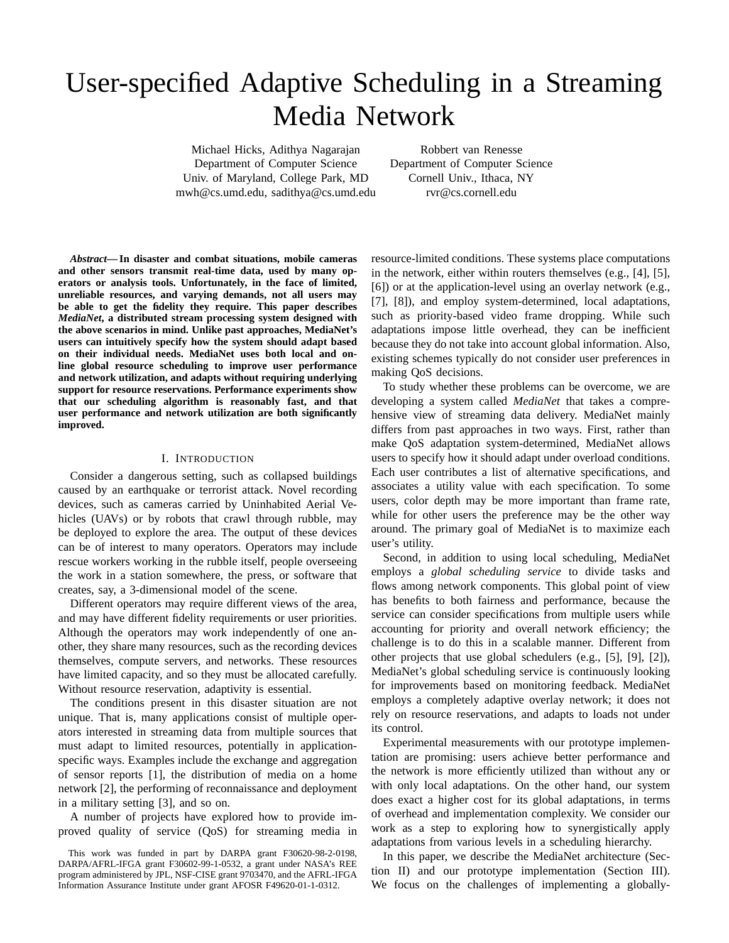# User-specified Adaptive Scheduling in a Streaming Media Network

Michael Hicks, Adithya Nagarajan Robbert van Renesse Department of Computer Science Department of Computer Science Univ. of Maryland, College Park, MD Cornell Univ., Ithaca, NY mwh@cs.umd.edu, sadithya@cs.umd.edu rvr@cs.cornell.edu

*Abstract***— In disaster and combat situations, mobile cameras and other sensors transmit real-time data, used by many operators or analysis tools. Unfortunately, in the face of limited, unreliable resources, and varying demands, not all users may be able to get the fidelity they require. This paper describes** *MediaNet***, a distributed stream processing system designed with the above scenarios in mind. Unlike past approaches, MediaNet's users can intuitively specify how the system should adapt based on their individual needs. MediaNet uses both local and online global resource scheduling to improve user performance and network utilization, and adapts without requiring underlying support for resource reservations. Performance experiments show that our scheduling algorithm is reasonably fast, and that user performance and network utilization are both significantly improved.**

#### I. INTRODUCTION

Consider a dangerous setting, such as collapsed buildings caused by an earthquake or terrorist attack. Novel recording devices, such as cameras carried by Uninhabited Aerial Vehicles (UAVs) or by robots that crawl through rubble, may be deployed to explore the area. The output of these devices can be of interest to many operators. Operators may include rescue workers working in the rubble itself, people overseeing the work in a station somewhere, the press, or software that creates, say, a 3-dimensional model of the scene.

Different operators may require different views of the area, and may have different fidelity requirements or user priorities. Although the operators may work independently of one another, they share many resources, such as the recording devices themselves, compute servers, and networks. These resources have limited capacity, and so they must be allocated carefully. Without resource reservation, adaptivity is essential.

The conditions present in this disaster situation are not unique. That is, many applications consist of multiple operators interested in streaming data from multiple sources that must adapt to limited resources, potentially in applicationspecific ways. Examples include the exchange and aggregation of sensor reports [1], the distribution of media on a home network [2], the performing of reconnaissance and deployment in a military setting [3], and so on.

A number of projects have explored how to provide improved quality of service (QoS) for streaming media in resource-limited conditions. These systems place computations in the network, either within routers themselves (e.g., [4], [5], [6]) or at the application-level using an overlay network (e.g., [7], [8]), and employ system-determined, local adaptations, such as priority-based video frame dropping. While such adaptations impose little overhead, they can be inefficient because they do not take into account global information. Also, existing schemes typically do not consider user preferences in making QoS decisions.

To study whether these problems can be overcome, we are developing a system called *MediaNet* that takes a comprehensive view of streaming data delivery. MediaNet mainly differs from past approaches in two ways. First, rather than make QoS adaptation system-determined, MediaNet allows users to specify how it should adapt under overload conditions. Each user contributes a list of alternative specifications, and associates a utility value with each specification. To some users, color depth may be more important than frame rate, while for other users the preference may be the other way around. The primary goal of MediaNet is to maximize each user's utility.

Second, in addition to using local scheduling, MediaNet employs a *global scheduling service* to divide tasks and flows among network components. This global point of view has benefits to both fairness and performance, because the service can consider specifications from multiple users while accounting for priority and overall network efficiency; the challenge is to do this in a scalable manner. Different from other projects that use global schedulers (e.g., [5], [9], [2]), MediaNet's global scheduling service is continuously looking for improvements based on monitoring feedback. MediaNet employs a completely adaptive overlay network; it does not rely on resource reservations, and adapts to loads not under its control.

Experimental measurements with our prototype implementation are promising: users achieve better performance and the network is more efficiently utilized than without any or with only local adaptations. On the other hand, our system does exact a higher cost for its global adaptations, in terms of overhead and implementation complexity. We consider our work as a step to exploring how to synergistically apply adaptations from various levels in a scheduling hierarchy.

In this paper, we describe the MediaNet architecture (Section II) and our prototype implementation (Section III). We focus on the challenges of implementing a globally-

This work was funded in part by DARPA grant F30620-98-2-0198, DARPA/AFRL-IFGA grant F30602-99-1-0532, a grant under NASA's REE program administered by JPL, NSF-CISE grant 9703470, and the AFRL-IFGA Information Assurance Institute under grant AFOSR F49620-01-1-0312.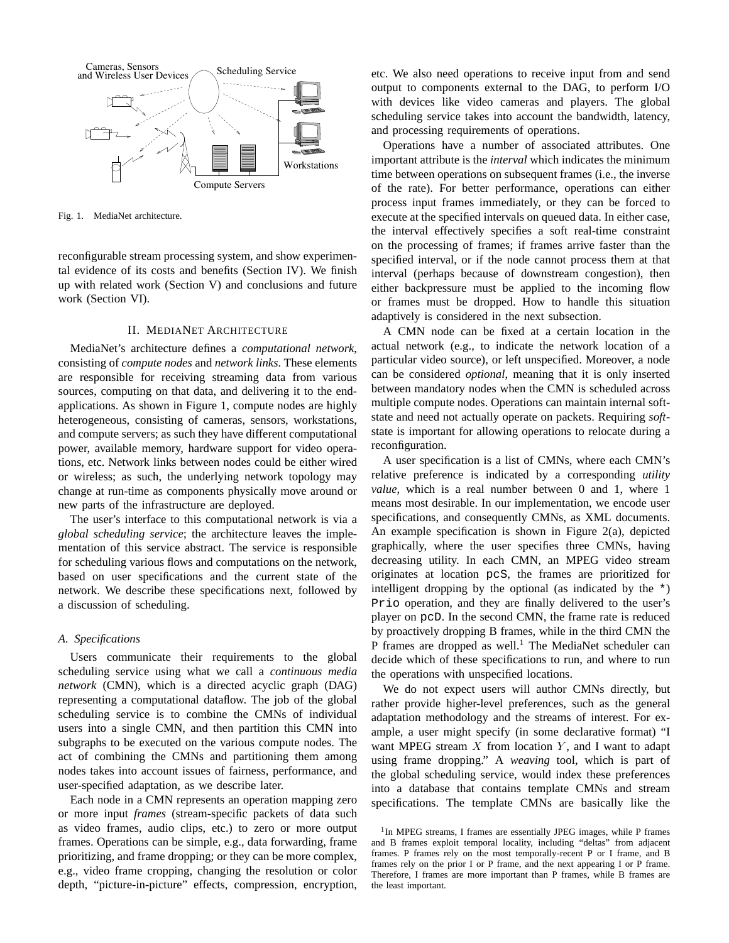

Fig. 1. MediaNet architecture.

reconfigurable stream processing system, and show experimental evidence of its costs and benefits (Section IV). We finish up with related work (Section V) and conclusions and future work (Section VI).

#### II. MEDIANET ARCHITECTURE

MediaNet's architecture defines a *computational network*, consisting of *compute nodes* and *network links*. These elements are responsible for receiving streaming data from various sources, computing on that data, and delivering it to the endapplications. As shown in Figure 1, compute nodes are highly heterogeneous, consisting of cameras, sensors, workstations, and compute servers; as such they have different computational power, available memory, hardware support for video operations, etc. Network links between nodes could be either wired or wireless; as such, the underlying network topology may change at run-time as components physically move around or new parts of the infrastructure are deployed.

The user's interface to this computational network is via a *global scheduling service*; the architecture leaves the implementation of this service abstract. The service is responsible for scheduling various flows and computations on the network, based on user specifications and the current state of the network. We describe these specifications next, followed by a discussion of scheduling.

#### *A. Specifications*

Users communicate their requirements to the global scheduling service using what we call a *continuous media network* (CMN), which is a directed acyclic graph (DAG) representing a computational dataflow. The job of the global scheduling service is to combine the CMNs of individual users into a single CMN, and then partition this CMN into subgraphs to be executed on the various compute nodes. The act of combining the CMNs and partitioning them among nodes takes into account issues of fairness, performance, and user-specified adaptation, as we describe later.

Each node in a CMN represents an operation mapping zero or more input *frames* (stream-specific packets of data such as video frames, audio clips, etc.) to zero or more output frames. Operations can be simple, e.g., data forwarding, frame prioritizing, and frame dropping; or they can be more complex, e.g., video frame cropping, changing the resolution or color depth, "picture-in-picture" effects, compression, encryption,

etc. We also need operations to receive input from and send output to components external to the DAG, to perform I/O with devices like video cameras and players. The global scheduling service takes into account the bandwidth, latency, and processing requirements of operations.

Operations have a number of associated attributes. One important attribute is the *interval* which indicates the minimum time between operations on subsequent frames (i.e., the inverse of the rate). For better performance, operations can either process input frames immediately, or they can be forced to execute at the specified intervals on queued data. In either case, the interval effectively specifies a soft real-time constraint on the processing of frames; if frames arrive faster than the specified interval, or if the node cannot process them at that interval (perhaps because of downstream congestion), then either backpressure must be applied to the incoming flow or frames must be dropped. How to handle this situation adaptively is considered in the next subsection.

A CMN node can be fixed at a certain location in the actual network (e.g., to indicate the network location of a particular video source), or left unspecified. Moreover, a node can be considered *optional*, meaning that it is only inserted between mandatory nodes when the CMN is scheduled across multiple compute nodes. Operations can maintain internal softstate and need not actually operate on packets. Requiring *soft*state is important for allowing operations to relocate during a reconfiguration.

A user specification is a list of CMNs, where each CMN's relative preference is indicated by a corresponding *utility value*, which is a real number between 0 and 1, where 1 means most desirable. In our implementation, we encode user specifications, and consequently CMNs, as XML documents. An example specification is shown in Figure 2(a), depicted graphically, where the user specifies three CMNs, having decreasing utility. In each CMN, an MPEG video stream originates at location pcS, the frames are prioritized for intelligent dropping by the optional (as indicated by the \*) Prio operation, and they are finally delivered to the user's player on pcD. In the second CMN, the frame rate is reduced by proactively dropping B frames, while in the third CMN the P frames are dropped as well.<sup>1</sup> The MediaNet scheduler can decide which of these specifications to run, and where to run the operations with unspecified locations.

We do not expect users will author CMNs directly, but rather provide higher-level preferences, such as the general adaptation methodology and the streams of interest. For example, a user might specify (in some declarative format) "I want MPEG stream  $X$  from location  $Y$ , and I want to adapt using frame dropping." A *weaving* tool, which is part of the global scheduling service, would index these preferences into a database that contains template CMNs and stream specifications. The template CMNs are basically like the

<sup>&</sup>lt;sup>1</sup>In MPEG streams, I frames are essentially JPEG images, while P frames and B frames exploit temporal locality, including "deltas" from adjacent frames. P frames rely on the most temporally-recent P or I frame, and B frames rely on the prior I or P frame, and the next appearing I or P frame. Therefore, I frames are more important than P frames, while B frames are the least important.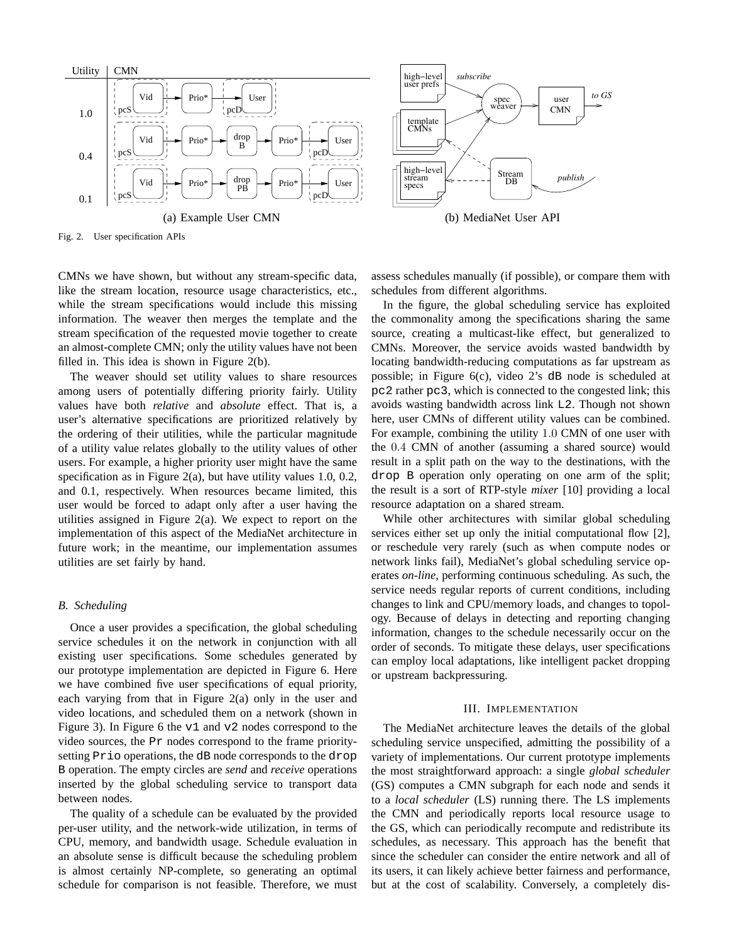

Fig. 2. User specification APIs

CMNs we have shown, but without any stream-specific data, like the stream location, resource usage characteristics, etc., while the stream specifications would include this missing information. The weaver then merges the template and the stream specification of the requested movie together to create an almost-complete CMN; only the utility values have not been filled in. This idea is shown in Figure 2(b).

The weaver should set utility values to share resources among users of potentially differing priority fairly. Utility values have both *relative* and *absolute* effect. That is, a user's alternative specifications are prioritized relatively by the ordering of their utilities, while the particular magnitude of a utility value relates globally to the utility values of other users. For example, a higher priority user might have the same specification as in Figure 2(a), but have utility values 1.0, 0.2, and 0.1, respectively. When resources became limited, this user would be forced to adapt only after a user having the utilities assigned in Figure 2(a). We expect to report on the implementation of this aspect of the MediaNet architecture in future work; in the meantime, our implementation assumes utilities are set fairly by hand.

#### *B. Scheduling*

Once a user provides a specification, the global scheduling service schedules it on the network in conjunction with all existing user specifications. Some schedules generated by our prototype implementation are depicted in Figure 6. Here we have combined five user specifications of equal priority, each varying from that in Figure 2(a) only in the user and video locations, and scheduled them on a network (shown in Figure 3). In Figure 6 the v1 and v2 nodes correspond to the video sources, the Pr nodes correspond to the frame prioritysetting Prio operations, the dB node corresponds to the drop B operation. The empty circles are *send* and *receive* operations inserted by the global scheduling service to transport data between nodes.

The quality of a schedule can be evaluated by the provided per-user utility, and the network-wide utilization, in terms of CPU, memory, and bandwidth usage. Schedule evaluation in an absolute sense is difficult because the scheduling problem is almost certainly NP-complete, so generating an optimal schedule for comparison is not feasible. Therefore, we must assess schedules manually (if possible), or compare them with schedules from different algorithms.

In the figure, the global scheduling service has exploited the commonality among the specifications sharing the same source, creating a multicast-like effect, but generalized to CMNs. Moreover, the service avoids wasted bandwidth by locating bandwidth-reducing computations as far upstream as possible; in Figure 6(c), video 2's dB node is scheduled at pc2 rather pc3, which is connected to the congested link; this avoids wasting bandwidth across link L2. Though not shown here, user CMNs of different utility values can be combined. For example, combining the utility 1.0 CMN of one user with the 0.4 CMN of another (assuming a shared source) would result in a split path on the way to the destinations, with the drop B operation only operating on one arm of the split; the result is a sort of RTP-style *mixer* [10] providing a local resource adaptation on a shared stream.

While other architectures with similar global scheduling services either set up only the initial computational flow [2], or reschedule very rarely (such as when compute nodes or network links fail), MediaNet's global scheduling service operates *on-line*, performing continuous scheduling. As such, the service needs regular reports of current conditions, including changes to link and CPU/memory loads, and changes to topology. Because of delays in detecting and reporting changing information, changes to the schedule necessarily occur on the order of seconds. To mitigate these delays, user specifications can employ local adaptations, like intelligent packet dropping or upstream backpressuring.

#### III. IMPLEMENTATION

The MediaNet architecture leaves the details of the global scheduling service unspecified, admitting the possibility of a variety of implementations. Our current prototype implements the most straightforward approach: a single *global scheduler* (GS) computes a CMN subgraph for each node and sends it to a *local scheduler* (LS) running there. The LS implements the CMN and periodically reports local resource usage to the GS, which can periodically recompute and redistribute its schedules, as necessary. This approach has the benefit that since the scheduler can consider the entire network and all of its users, it can likely achieve better fairness and performance, but at the cost of scalability. Conversely, a completely dis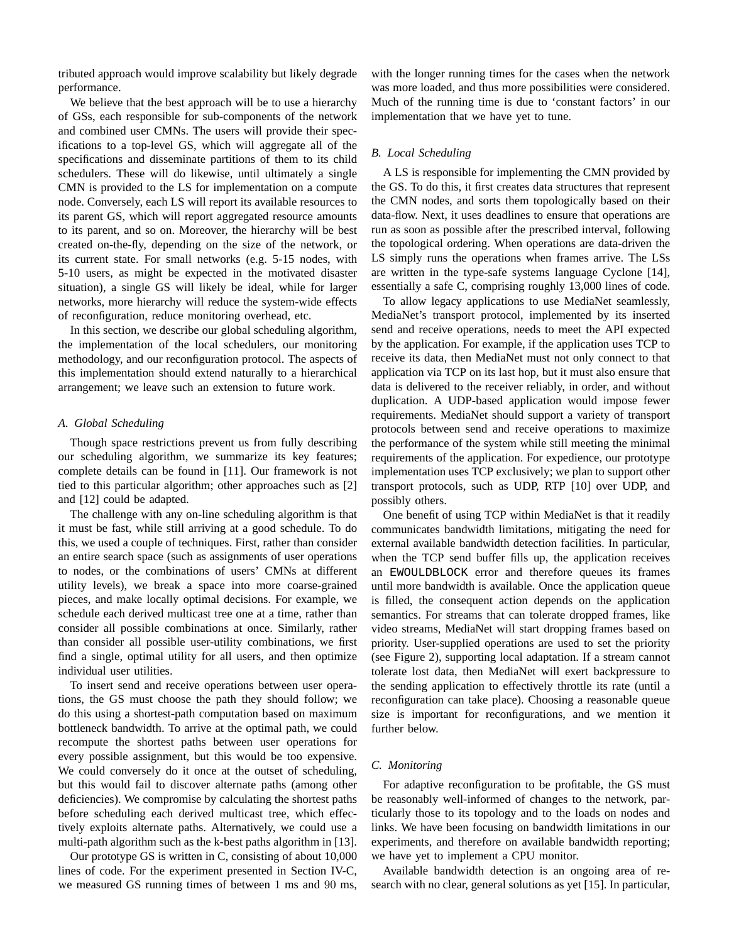tributed approach would improve scalability but likely degrade performance.

We believe that the best approach will be to use a hierarchy of GSs, each responsible for sub-components of the network and combined user CMNs. The users will provide their specifications to a top-level GS, which will aggregate all of the specifications and disseminate partitions of them to its child schedulers. These will do likewise, until ultimately a single CMN is provided to the LS for implementation on a compute node. Conversely, each LS will report its available resources to its parent GS, which will report aggregated resource amounts to its parent, and so on. Moreover, the hierarchy will be best created on-the-fly, depending on the size of the network, or its current state. For small networks (e.g. 5-15 nodes, with 5-10 users, as might be expected in the motivated disaster situation), a single GS will likely be ideal, while for larger networks, more hierarchy will reduce the system-wide effects of reconfiguration, reduce monitoring overhead, etc.

In this section, we describe our global scheduling algorithm, the implementation of the local schedulers, our monitoring methodology, and our reconfiguration protocol. The aspects of this implementation should extend naturally to a hierarchical arrangement; we leave such an extension to future work.

# *A. Global Scheduling*

Though space restrictions prevent us from fully describing our scheduling algorithm, we summarize its key features; complete details can be found in [11]. Our framework is not tied to this particular algorithm; other approaches such as [2] and [12] could be adapted.

The challenge with any on-line scheduling algorithm is that it must be fast, while still arriving at a good schedule. To do this, we used a couple of techniques. First, rather than consider an entire search space (such as assignments of user operations to nodes, or the combinations of users' CMNs at different utility levels), we break a space into more coarse-grained pieces, and make locally optimal decisions. For example, we schedule each derived multicast tree one at a time, rather than consider all possible combinations at once. Similarly, rather than consider all possible user-utility combinations, we first find a single, optimal utility for all users, and then optimize individual user utilities.

To insert send and receive operations between user operations, the GS must choose the path they should follow; we do this using a shortest-path computation based on maximum bottleneck bandwidth. To arrive at the optimal path, we could recompute the shortest paths between user operations for every possible assignment, but this would be too expensive. We could conversely do it once at the outset of scheduling, but this would fail to discover alternate paths (among other deficiencies). We compromise by calculating the shortest paths before scheduling each derived multicast tree, which effectively exploits alternate paths. Alternatively, we could use a multi-path algorithm such as the k-best paths algorithm in [13].

Our prototype GS is written in C, consisting of about 10,000 lines of code. For the experiment presented in Section IV-C, we measured GS running times of between 1 ms and 90 ms, with the longer running times for the cases when the network was more loaded, and thus more possibilities were considered. Much of the running time is due to 'constant factors' in our implementation that we have yet to tune.

#### *B. Local Scheduling*

A LS is responsible for implementing the CMN provided by the GS. To do this, it first creates data structures that represent the CMN nodes, and sorts them topologically based on their data-flow. Next, it uses deadlines to ensure that operations are run as soon as possible after the prescribed interval, following the topological ordering. When operations are data-driven the LS simply runs the operations when frames arrive. The LSs are written in the type-safe systems language Cyclone [14], essentially a safe C, comprising roughly 13,000 lines of code.

To allow legacy applications to use MediaNet seamlessly, MediaNet's transport protocol, implemented by its inserted send and receive operations, needs to meet the API expected by the application. For example, if the application uses TCP to receive its data, then MediaNet must not only connect to that application via TCP on its last hop, but it must also ensure that data is delivered to the receiver reliably, in order, and without duplication. A UDP-based application would impose fewer requirements. MediaNet should support a variety of transport protocols between send and receive operations to maximize the performance of the system while still meeting the minimal requirements of the application. For expedience, our prototype implementation uses TCP exclusively; we plan to support other transport protocols, such as UDP, RTP [10] over UDP, and possibly others.

One benefit of using TCP within MediaNet is that it readily communicates bandwidth limitations, mitigating the need for external available bandwidth detection facilities. In particular, when the TCP send buffer fills up, the application receives an EWOULDBLOCK error and therefore queues its frames until more bandwidth is available. Once the application queue is filled, the consequent action depends on the application semantics. For streams that can tolerate dropped frames, like video streams, MediaNet will start dropping frames based on priority. User-supplied operations are used to set the priority (see Figure 2), supporting local adaptation. If a stream cannot tolerate lost data, then MediaNet will exert backpressure to the sending application to effectively throttle its rate (until a reconfiguration can take place). Choosing a reasonable queue size is important for reconfigurations, and we mention it further below.

#### *C. Monitoring*

For adaptive reconfiguration to be profitable, the GS must be reasonably well-informed of changes to the network, particularly those to its topology and to the loads on nodes and links. We have been focusing on bandwidth limitations in our experiments, and therefore on available bandwidth reporting; we have yet to implement a CPU monitor.

Available bandwidth detection is an ongoing area of research with no clear, general solutions as yet [15]. In particular,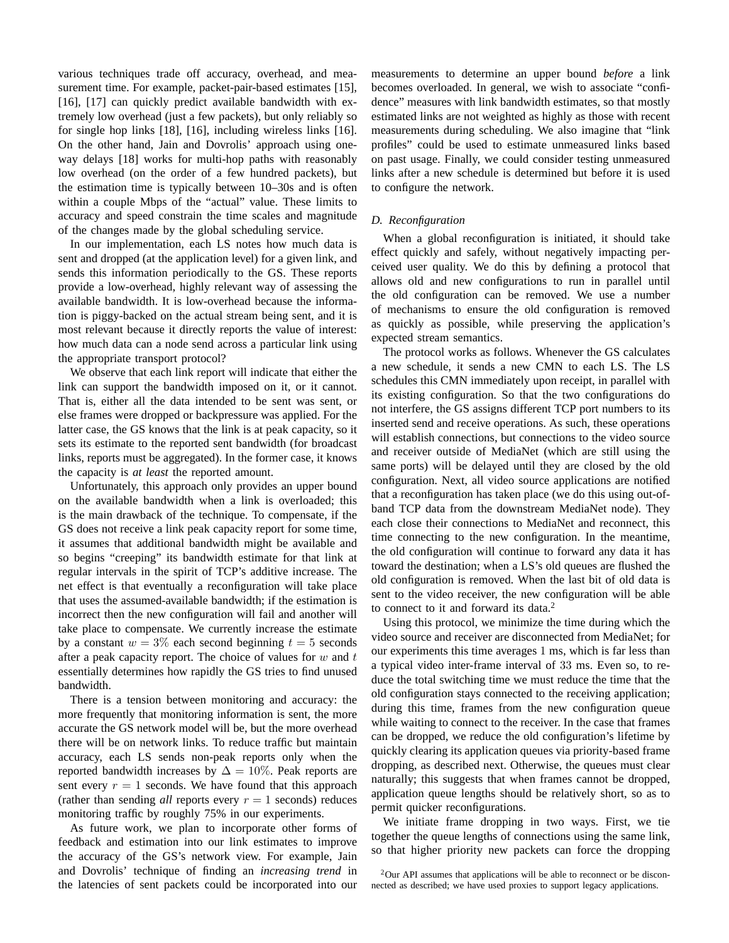various techniques trade off accuracy, overhead, and measurement time. For example, packet-pair-based estimates [15], [16], [17] can quickly predict available bandwidth with extremely low overhead (just a few packets), but only reliably so for single hop links [18], [16], including wireless links [16]. On the other hand, Jain and Dovrolis' approach using oneway delays [18] works for multi-hop paths with reasonably low overhead (on the order of a few hundred packets), but the estimation time is typically between 10–30s and is often within a couple Mbps of the "actual" value. These limits to accuracy and speed constrain the time scales and magnitude of the changes made by the global scheduling service.

In our implementation, each LS notes how much data is sent and dropped (at the application level) for a given link, and sends this information periodically to the GS. These reports provide a low-overhead, highly relevant way of assessing the available bandwidth. It is low-overhead because the information is piggy-backed on the actual stream being sent, and it is most relevant because it directly reports the value of interest: how much data can a node send across a particular link using the appropriate transport protocol?

We observe that each link report will indicate that either the link can support the bandwidth imposed on it, or it cannot. That is, either all the data intended to be sent was sent, or else frames were dropped or backpressure was applied. For the latter case, the GS knows that the link is at peak capacity, so it sets its estimate to the reported sent bandwidth (for broadcast links, reports must be aggregated). In the former case, it knows the capacity is *at least* the reported amount.

Unfortunately, this approach only provides an upper bound on the available bandwidth when a link is overloaded; this is the main drawback of the technique. To compensate, if the GS does not receive a link peak capacity report for some time, it assumes that additional bandwidth might be available and so begins "creeping" its bandwidth estimate for that link at regular intervals in the spirit of TCP's additive increase. The net effect is that eventually a reconfiguration will take place that uses the assumed-available bandwidth; if the estimation is incorrect then the new configuration will fail and another will take place to compensate. We currently increase the estimate by a constant  $w = 3\%$  each second beginning  $t = 5$  seconds after a peak capacity report. The choice of values for  $w$  and  $t$ essentially determines how rapidly the GS tries to find unused bandwidth.

There is a tension between monitoring and accuracy: the more frequently that monitoring information is sent, the more accurate the GS network model will be, but the more overhead there will be on network links. To reduce traffic but maintain accuracy, each LS sends non-peak reports only when the reported bandwidth increases by  $\Delta = 10\%$ . Peak reports are sent every  $r = 1$  seconds. We have found that this approach (rather than sending *all* reports every  $r = 1$  seconds) reduces monitoring traffic by roughly 75% in our experiments.

As future work, we plan to incorporate other forms of feedback and estimation into our link estimates to improve the accuracy of the GS's network view. For example, Jain and Dovrolis' technique of finding an *increasing trend* in the latencies of sent packets could be incorporated into our measurements to determine an upper bound *before* a link becomes overloaded. In general, we wish to associate "confidence" measures with link bandwidth estimates, so that mostly estimated links are not weighted as highly as those with recent measurements during scheduling. We also imagine that "link profiles" could be used to estimate unmeasured links based on past usage. Finally, we could consider testing unmeasured links after a new schedule is determined but before it is used to configure the network.

#### *D. Reconfiguration*

When a global reconfiguration is initiated, it should take effect quickly and safely, without negatively impacting perceived user quality. We do this by defining a protocol that allows old and new configurations to run in parallel until the old configuration can be removed. We use a number of mechanisms to ensure the old configuration is removed as quickly as possible, while preserving the application's expected stream semantics.

The protocol works as follows. Whenever the GS calculates a new schedule, it sends a new CMN to each LS. The LS schedules this CMN immediately upon receipt, in parallel with its existing configuration. So that the two configurations do not interfere, the GS assigns different TCP port numbers to its inserted send and receive operations. As such, these operations will establish connections, but connections to the video source and receiver outside of MediaNet (which are still using the same ports) will be delayed until they are closed by the old configuration. Next, all video source applications are notified that a reconfiguration has taken place (we do this using out-ofband TCP data from the downstream MediaNet node). They each close their connections to MediaNet and reconnect, this time connecting to the new configuration. In the meantime, the old configuration will continue to forward any data it has toward the destination; when a LS's old queues are flushed the old configuration is removed. When the last bit of old data is sent to the video receiver, the new configuration will be able to connect to it and forward its data.<sup>2</sup>

Using this protocol, we minimize the time during which the video source and receiver are disconnected from MediaNet; for our experiments this time averages 1 ms, which is far less than a typical video inter-frame interval of 33 ms. Even so, to reduce the total switching time we must reduce the time that the old configuration stays connected to the receiving application; during this time, frames from the new configuration queue while waiting to connect to the receiver. In the case that frames can be dropped, we reduce the old configuration's lifetime by quickly clearing its application queues via priority-based frame dropping, as described next. Otherwise, the queues must clear naturally; this suggests that when frames cannot be dropped, application queue lengths should be relatively short, so as to permit quicker reconfigurations.

We initiate frame dropping in two ways. First, we tie together the queue lengths of connections using the same link, so that higher priority new packets can force the dropping

<sup>2</sup>Our API assumes that applications will be able to reconnect or be disconnected as described; we have used proxies to support legacy applications.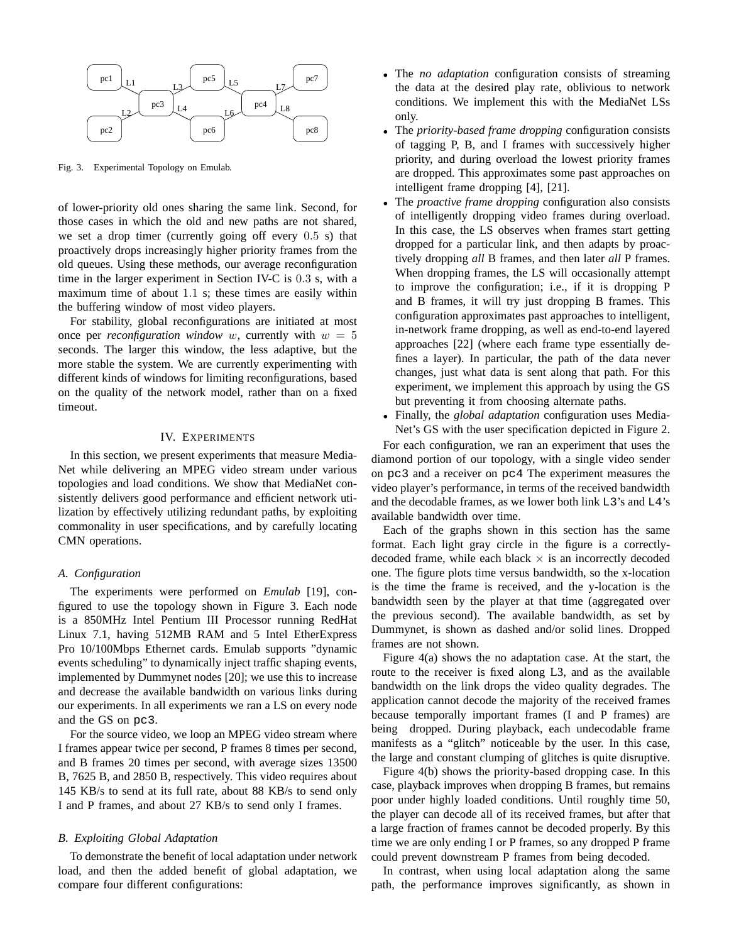

Fig. 3. Experimental Topology on Emulab.

of lower-priority old ones sharing the same link. Second, for those cases in which the old and new paths are not shared, we set a drop timer (currently going off every 0.5 s) that proactively drops increasingly higher priority frames from the old queues. Using these methods, our average reconfiguration time in the larger experiment in Section IV-C is 0.3 s, with a maximum time of about 1.1 s; these times are easily within the buffering window of most video players.

For stability, global reconfigurations are initiated at most once per *reconfiguration window* w, currently with  $w = 5$ seconds. The larger this window, the less adaptive, but the more stable the system. We are currently experimenting with different kinds of windows for limiting reconfigurations, based on the quality of the network model, rather than on a fixed timeout.

## IV. EXPERIMENTS

In this section, we present experiments that measure Media-Net while delivering an MPEG video stream under various topologies and load conditions. We show that MediaNet consistently delivers good performance and efficient network utilization by effectively utilizing redundant paths, by exploiting commonality in user specifications, and by carefully locating CMN operations.

#### *A. Configuration*

The experiments were performed on *Emulab* [19], configured to use the topology shown in Figure 3. Each node is a 850MHz Intel Pentium III Processor running RedHat Linux 7.1, having 512MB RAM and 5 Intel EtherExpress Pro 10/100Mbps Ethernet cards. Emulab supports "dynamic events scheduling" to dynamically inject traffic shaping events, implemented by Dummynet nodes [20]; we use this to increase and decrease the available bandwidth on various links during our experiments. In all experiments we ran a LS on every node and the GS on pc3.

For the source video, we loop an MPEG video stream where I frames appear twice per second, P frames 8 times per second, and B frames 20 times per second, with average sizes 13500 B, 7625 B, and 2850 B, respectively. This video requires about 145 KB/s to send at its full rate, about 88 KB/s to send only I and P frames, and about 27 KB/s to send only I frames.

# *B. Exploiting Global Adaptation*

To demonstrate the benefit of local adaptation under network load, and then the added benefit of global adaptation, we compare four different configurations:

- The *no adaptation* configuration consists of streaming the data at the desired play rate, oblivious to network conditions. We implement this with the MediaNet LSs only.
- The *priority-based frame dropping* configuration consists of tagging P, B, and I frames with successively higher priority, and during overload the lowest priority frames are dropped. This approximates some past approaches on intelligent frame dropping [4], [21].
- The *proactive frame dropping* configuration also consists of intelligently dropping video frames during overload. In this case, the LS observes when frames start getting dropped for a particular link, and then adapts by proactively dropping *all* B frames, and then later *all* P frames. When dropping frames, the LS will occasionally attempt to improve the configuration; i.e., if it is dropping P and B frames, it will try just dropping B frames. This configuration approximates past approaches to intelligent, in-network frame dropping, as well as end-to-end layered approaches [22] (where each frame type essentially defines a layer). In particular, the path of the data never changes, just what data is sent along that path. For this experiment, we implement this approach by using the GS but preventing it from choosing alternate paths.
- Finally, the *global adaptation* configuration uses Media-Net's GS with the user specification depicted in Figure 2.

For each configuration, we ran an experiment that uses the diamond portion of our topology, with a single video sender on pc3 and a receiver on pc4 The experiment measures the video player's performance, in terms of the received bandwidth and the decodable frames, as we lower both link L3's and L4's available bandwidth over time.

Each of the graphs shown in this section has the same format. Each light gray circle in the figure is a correctlydecoded frame, while each black  $\times$  is an incorrectly decoded one. The figure plots time versus bandwidth, so the x-location is the time the frame is received, and the y-location is the bandwidth seen by the player at that time (aggregated over the previous second). The available bandwidth, as set by Dummynet, is shown as dashed and/or solid lines. Dropped frames are not shown.

Figure 4(a) shows the no adaptation case. At the start, the route to the receiver is fixed along L3, and as the available bandwidth on the link drops the video quality degrades. The application cannot decode the majority of the received frames because temporally important frames (I and P frames) are being dropped. During playback, each undecodable frame manifests as a "glitch" noticeable by the user. In this case, the large and constant clumping of glitches is quite disruptive.

Figure 4(b) shows the priority-based dropping case. In this case, playback improves when dropping B frames, but remains poor under highly loaded conditions. Until roughly time 50, the player can decode all of its received frames, but after that a large fraction of frames cannot be decoded properly. By this time we are only ending I or P frames, so any dropped P frame could prevent downstream P frames from being decoded.

In contrast, when using local adaptation along the same path, the performance improves significantly, as shown in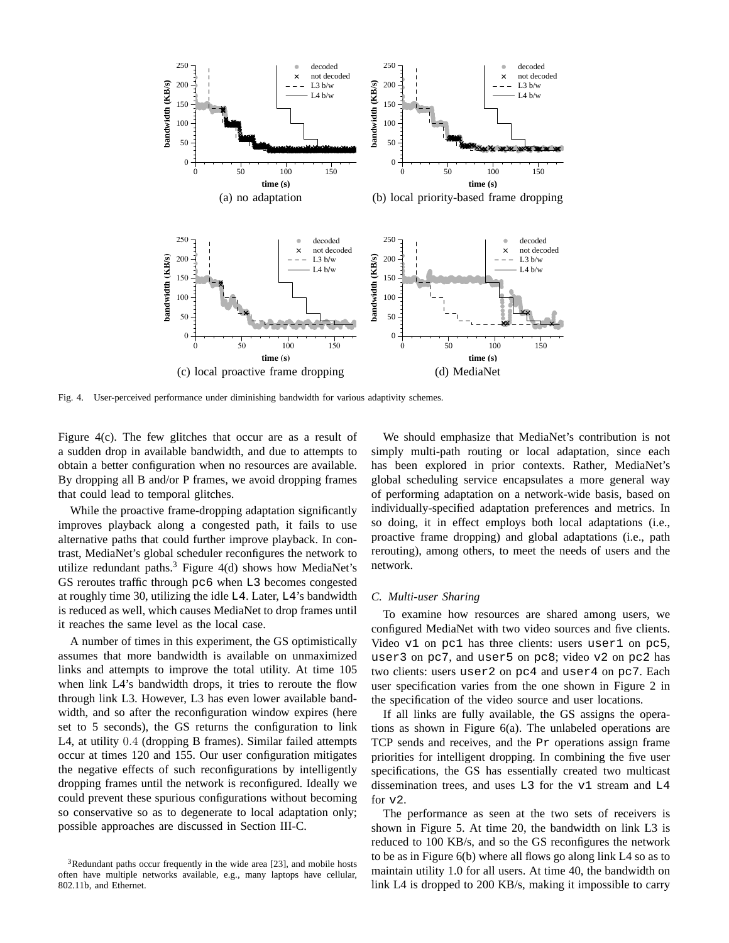

Fig. 4. User-perceived performance under diminishing bandwidth for various adaptivity schemes.

Figure 4(c). The few glitches that occur are as a result of a sudden drop in available bandwidth, and due to attempts to obtain a better configuration when no resources are available. By dropping all B and/or P frames, we avoid dropping frames that could lead to temporal glitches.

While the proactive frame-dropping adaptation significantly improves playback along a congested path, it fails to use alternative paths that could further improve playback. In contrast, MediaNet's global scheduler reconfigures the network to utilize redundant paths.<sup>3</sup> Figure 4(d) shows how MediaNet's GS reroutes traffic through pc6 when L3 becomes congested at roughly time 30, utilizing the idle L4. Later, L4's bandwidth is reduced as well, which causes MediaNet to drop frames until it reaches the same level as the local case.

A number of times in this experiment, the GS optimistically assumes that more bandwidth is available on unmaximized links and attempts to improve the total utility. At time 105 when link L4's bandwidth drops, it tries to reroute the flow through link L3. However, L3 has even lower available bandwidth, and so after the reconfiguration window expires (here set to 5 seconds), the GS returns the configuration to link L4, at utility 0.4 (dropping B frames). Similar failed attempts occur at times 120 and 155. Our user configuration mitigates the negative effects of such reconfigurations by intelligently dropping frames until the network is reconfigured. Ideally we could prevent these spurious configurations without becoming so conservative so as to degenerate to local adaptation only; possible approaches are discussed in Section III-C.

We should emphasize that MediaNet's contribution is not simply multi-path routing or local adaptation, since each has been explored in prior contexts. Rather, MediaNet's global scheduling service encapsulates a more general way of performing adaptation on a network-wide basis, based on individually-specified adaptation preferences and metrics. In so doing, it in effect employs both local adaptations (i.e., proactive frame dropping) and global adaptations (i.e., path rerouting), among others, to meet the needs of users and the network.

# *C. Multi-user Sharing*

To examine how resources are shared among users, we configured MediaNet with two video sources and five clients. Video v1 on pc1 has three clients: users user1 on pc5, user3 on pc7, and user5 on pc8; video v2 on pc2 has two clients: users user2 on pc4 and user4 on pc7. Each user specification varies from the one shown in Figure 2 in the specification of the video source and user locations.

If all links are fully available, the GS assigns the operations as shown in Figure 6(a). The unlabeled operations are TCP sends and receives, and the Pr operations assign frame priorities for intelligent dropping. In combining the five user specifications, the GS has essentially created two multicast dissemination trees, and uses L3 for the v1 stream and L4 for v2.

The performance as seen at the two sets of receivers is shown in Figure 5. At time 20, the bandwidth on link L3 is reduced to 100 KB/s, and so the GS reconfigures the network to be as in Figure 6(b) where all flows go along link L4 so as to maintain utility 1.0 for all users. At time 40, the bandwidth on link L4 is dropped to 200 KB/s, making it impossible to carry

 $3R$ edundant paths occur frequently in the wide area [23], and mobile hosts often have multiple networks available, e.g., many laptops have cellular, 802.11b, and Ethernet.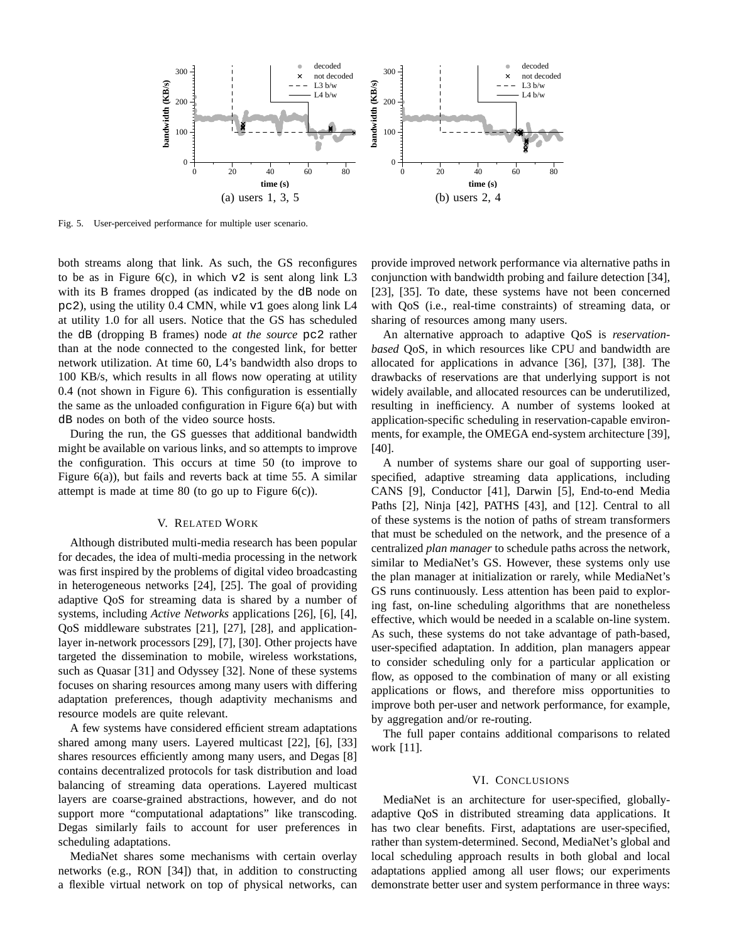

Fig. 5. User-perceived performance for multiple user scenario.

both streams along that link. As such, the GS reconfigures to be as in Figure  $6(c)$ , in which  $v2$  is sent along link L3 with its B frames dropped (as indicated by the dB node on pc2), using the utility 0.4 CMN, while v1 goes along link L4 at utility 1.0 for all users. Notice that the GS has scheduled the dB (dropping B frames) node *at the source* pc2 rather than at the node connected to the congested link, for better network utilization. At time 60, L4's bandwidth also drops to 100 KB/s, which results in all flows now operating at utility 0.4 (not shown in Figure 6). This configuration is essentially the same as the unloaded configuration in Figure 6(a) but with dB nodes on both of the video source hosts.

During the run, the GS guesses that additional bandwidth might be available on various links, and so attempts to improve the configuration. This occurs at time 50 (to improve to Figure 6(a)), but fails and reverts back at time 55. A similar attempt is made at time  $80$  (to go up to Figure  $6(c)$ ).

### V. RELATED WORK

Although distributed multi-media research has been popular for decades, the idea of multi-media processing in the network was first inspired by the problems of digital video broadcasting in heterogeneous networks [24], [25]. The goal of providing adaptive QoS for streaming data is shared by a number of systems, including *Active Networks* applications [26], [6], [4], QoS middleware substrates [21], [27], [28], and applicationlayer in-network processors [29], [7], [30]. Other projects have targeted the dissemination to mobile, wireless workstations, such as Quasar [31] and Odyssey [32]. None of these systems focuses on sharing resources among many users with differing adaptation preferences, though adaptivity mechanisms and resource models are quite relevant.

A few systems have considered efficient stream adaptations shared among many users. Layered multicast [22], [6], [33] shares resources efficiently among many users, and Degas [8] contains decentralized protocols for task distribution and load balancing of streaming data operations. Layered multicast layers are coarse-grained abstractions, however, and do not support more "computational adaptations" like transcoding. Degas similarly fails to account for user preferences in scheduling adaptations.

MediaNet shares some mechanisms with certain overlay networks (e.g., RON [34]) that, in addition to constructing a flexible virtual network on top of physical networks, can

provide improved network performance via alternative paths in conjunction with bandwidth probing and failure detection [34], [23], [35]. To date, these systems have not been concerned with QoS (i.e., real-time constraints) of streaming data, or sharing of resources among many users.

An alternative approach to adaptive QoS is *reservationbased* QoS, in which resources like CPU and bandwidth are allocated for applications in advance [36], [37], [38]. The drawbacks of reservations are that underlying support is not widely available, and allocated resources can be underutilized, resulting in inefficiency. A number of systems looked at application-specific scheduling in reservation-capable environments, for example, the OMEGA end-system architecture [39], [40].

A number of systems share our goal of supporting userspecified, adaptive streaming data applications, including CANS [9], Conductor [41], Darwin [5], End-to-end Media Paths [2], Ninja [42], PATHS [43], and [12]. Central to all of these systems is the notion of paths of stream transformers that must be scheduled on the network, and the presence of a centralized *plan manager* to schedule paths across the network, similar to MediaNet's GS. However, these systems only use the plan manager at initialization or rarely, while MediaNet's GS runs continuously. Less attention has been paid to exploring fast, on-line scheduling algorithms that are nonetheless effective, which would be needed in a scalable on-line system. As such, these systems do not take advantage of path-based, user-specified adaptation. In addition, plan managers appear to consider scheduling only for a particular application or flow, as opposed to the combination of many or all existing applications or flows, and therefore miss opportunities to improve both per-user and network performance, for example, by aggregation and/or re-routing.

The full paper contains additional comparisons to related work [11].

#### VI. CONCLUSIONS

MediaNet is an architecture for user-specified, globallyadaptive QoS in distributed streaming data applications. It has two clear benefits. First, adaptations are user-specified, rather than system-determined. Second, MediaNet's global and local scheduling approach results in both global and local adaptations applied among all user flows; our experiments demonstrate better user and system performance in three ways: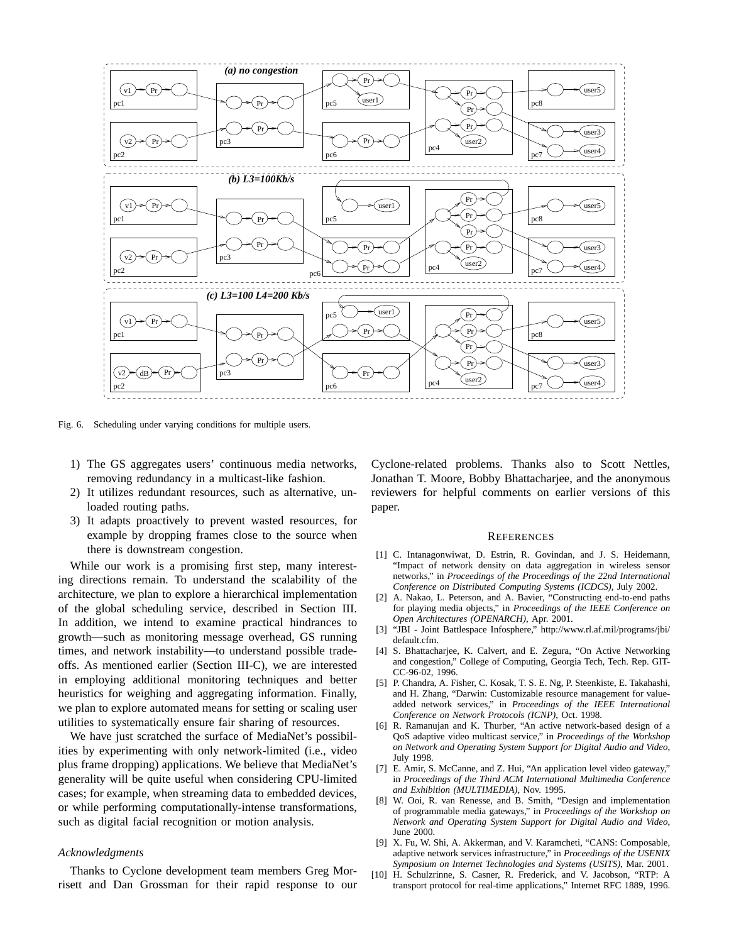

Fig. 6. Scheduling under varying conditions for multiple users.

- 1) The GS aggregates users' continuous media networks, removing redundancy in a multicast-like fashion.
- 2) It utilizes redundant resources, such as alternative, unloaded routing paths.
- 3) It adapts proactively to prevent wasted resources, for example by dropping frames close to the source when there is downstream congestion.

While our work is a promising first step, many interesting directions remain. To understand the scalability of the architecture, we plan to explore a hierarchical implementation of the global scheduling service, described in Section III. In addition, we intend to examine practical hindrances to growth—such as monitoring message overhead, GS running times, and network instability—to understand possible tradeoffs. As mentioned earlier (Section III-C), we are interested in employing additional monitoring techniques and better heuristics for weighing and aggregating information. Finally, we plan to explore automated means for setting or scaling user utilities to systematically ensure fair sharing of resources.

We have just scratched the surface of MediaNet's possibilities by experimenting with only network-limited (i.e., video plus frame dropping) applications. We believe that MediaNet's generality will be quite useful when considering CPU-limited cases; for example, when streaming data to embedded devices, or while performing computationally-intense transformations, such as digital facial recognition or motion analysis.

## *Acknowledgments*

Thanks to Cyclone development team members Greg Morrisett and Dan Grossman for their rapid response to our Cyclone-related problems. Thanks also to Scott Nettles, Jonathan T. Moore, Bobby Bhattacharjee, and the anonymous reviewers for helpful comments on earlier versions of this paper.

#### **REFERENCES**

- [1] C. Intanagonwiwat, D. Estrin, R. Govindan, and J. S. Heidemann, "Impact of network density on data aggregation in wireless sensor networks," in *Proceedings of the Proceedings of the 22nd International Conference on Distributed Computing Systems (ICDCS)*, July 2002.
- [2] A. Nakao, L. Peterson, and A. Bavier, "Constructing end-to-end paths for playing media objects," in *Proceedings of the IEEE Conference on Open Architectures (OPENARCH)*, Apr. 2001.
- [3] "JBI Joint Battlespace Infosphere," http://www.rl.af.mil/programs/jbi/ default.cfm.
- [4] S. Bhattacharjee, K. Calvert, and E. Zegura, "On Active Networking and congestion," College of Computing, Georgia Tech, Tech. Rep. GIT-CC-96-02, 1996.
- [5] P. Chandra, A. Fisher, C. Kosak, T. S. E. Ng, P. Steenkiste, E. Takahashi, and H. Zhang, "Darwin: Customizable resource management for valueadded network services," in *Proceedings of the IEEE International Conference on Network Protocols (ICNP)*, Oct. 1998.
- [6] R. Ramanujan and K. Thurber, "An active network-based design of a QoS adaptive video multicast service," in *Proceedings of the Workshop on Network and Operating System Support for Digital Audio and Video*, July 1998.
- [7] E. Amir, S. McCanne, and Z. Hui, "An application level video gateway," in *Proceedings of the Third ACM International Multimedia Conference and Exhibition (MULTIMEDIA)*, Nov. 1995.
- [8] W. Ooi, R. van Renesse, and B. Smith, "Design and implementation of programmable media gateways," in *Proceedings of the Workshop on Network and Operating System Support for Digital Audio and Video*, June 2000.
- [9] X. Fu, W. Shi, A. Akkerman, and V. Karamcheti, "CANS: Composable, adaptive network services infrastructure," in *Proceedings of the USENIX Symposium on Internet Technologies and Systems (USITS)*, Mar. 2001.
- [10] H. Schulzrinne, S. Casner, R. Frederick, and V. Jacobson, "RTP: A transport protocol for real-time applications," Internet RFC 1889, 1996.